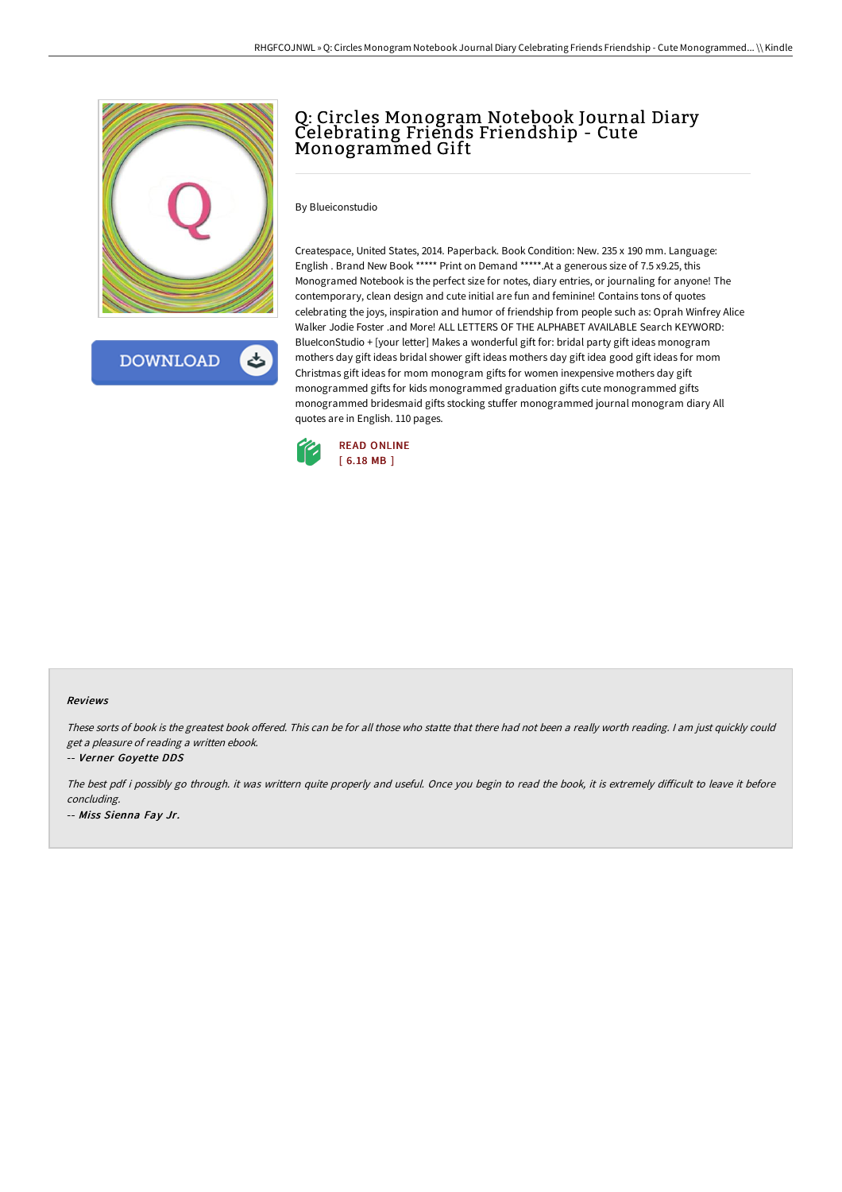

**DOWNLOAD** 

# Q: Circles Monogram Notebook Journal Diary Celebrating Friends Friendship - Cute Monogrammed Gift

By Blueiconstudio

Createspace, United States, 2014. Paperback. Book Condition: New. 235 x 190 mm. Language: English . Brand New Book \*\*\*\*\* Print on Demand \*\*\*\*\*.At a generous size of 7.5 x9.25, this Monogramed Notebook is the perfect size for notes, diary entries, or journaling for anyone! The contemporary, clean design and cute initial are fun and feminine! Contains tons of quotes celebrating the joys, inspiration and humor of friendship from people such as: Oprah Winfrey Alice Walker Jodie Foster .and More! ALL LETTERS OF THE ALPHABET AVAILABLE Search KEYWORD: BlueIconStudio + [your letter] Makes a wonderful gift for: bridal party gift ideas monogram mothers day gift ideas bridal shower gift ideas mothers day gift idea good gift ideas for mom Christmas gift ideas for mom monogram gifts for women inexpensive mothers day gift monogrammed gifts for kids monogrammed graduation gifts cute monogrammed gifts monogrammed bridesmaid gifts stocking stuffer monogrammed journal monogram diary All quotes are in English. 110 pages.



#### Reviews

These sorts of book is the greatest book offered. This can be for all those who statte that there had not been a really worth reading. I am just quickly could get <sup>a</sup> pleasure of reading <sup>a</sup> written ebook.

-- Verner Goyette DDS

The best pdf i possibly go through. it was writtern quite properly and useful. Once you begin to read the book, it is extremely difficult to leave it before concluding. -- Miss Sienna Fay Jr.